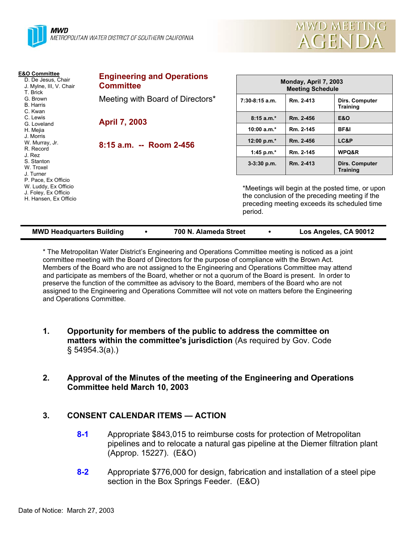



| <b>E&amp;O Committee</b><br>D. De Jesus, Chair<br>J. Mylne, III, V. Chair<br>T. Brick<br>G. Brown<br><b>B.</b> Harris<br>C. Kwan<br>C. Lewis<br>G. Loveland<br>H. Mejia<br>J. Morris<br>W. Murray, Jr.<br>R. Record<br>J. Rez<br>S. Stanton<br>W. Troxel<br>J. Turner<br>P. Pace, Ex Officio<br>W. Luddy, Ex Officio<br>J. Foley, Ex Officio<br>H. Hansen, Ex Officio | <b>Engineering and Operations</b><br><b>Committee</b> | Monday, April 7, 2003<br><b>Meeting Schedule</b>                                                                                                              |           |                                   |
|-----------------------------------------------------------------------------------------------------------------------------------------------------------------------------------------------------------------------------------------------------------------------------------------------------------------------------------------------------------------------|-------------------------------------------------------|---------------------------------------------------------------------------------------------------------------------------------------------------------------|-----------|-----------------------------------|
|                                                                                                                                                                                                                                                                                                                                                                       | Meeting with Board of Directors*                      | $7:30-8:15$ a.m.                                                                                                                                              | Rm. 2-413 | Dirs. Computer<br>Training        |
|                                                                                                                                                                                                                                                                                                                                                                       | <b>April 7, 2003</b>                                  | $8:15a.m.*$                                                                                                                                                   | Rm. 2-456 | <b>E&amp;O</b>                    |
|                                                                                                                                                                                                                                                                                                                                                                       |                                                       | 10:00 $a.m.*$                                                                                                                                                 | Rm. 2-145 | BF&I                              |
|                                                                                                                                                                                                                                                                                                                                                                       | 8:15 a.m. -- Room 2-456                               | 12:00 p.m.*                                                                                                                                                   | Rm. 2-456 | LC&P                              |
|                                                                                                                                                                                                                                                                                                                                                                       |                                                       | 1:45 p.m. $*$                                                                                                                                                 | Rm. 2-145 | WPQ&R                             |
|                                                                                                                                                                                                                                                                                                                                                                       |                                                       | $3-3:30$ p.m.                                                                                                                                                 | Rm. 2-413 | Dirs. Computer<br><b>Training</b> |
|                                                                                                                                                                                                                                                                                                                                                                       |                                                       | *Meetings will begin at the posted time, or upon<br>the conclusion of the preceding meeting if the<br>preceding meeting exceeds its scheduled time<br>period. |           |                                   |

| <b>MWD Headquarters Building</b> |  | 700 N. Alameda Street |  | Los Angeles, CA 90012 |
|----------------------------------|--|-----------------------|--|-----------------------|
|----------------------------------|--|-----------------------|--|-----------------------|

\* The Metropolitan Water District's Engineering and Operations Committee meeting is noticed as a joint committee meeting with the Board of Directors for the purpose of compliance with the Brown Act. Members of the Board who are not assigned to the Engineering and Operations Committee may attend and participate as members of the Board, whether or not a quorum of the Board is present. In order to preserve the function of the committee as advisory to the Board, members of the Board who are not assigned to the Engineering and Operations Committee will not vote on matters before the Engineering and Operations Committee.

- **1. Opportunity for members of the public to address the committee on matters within the committee's jurisdiction** (As required by Gov. Code § 54954.3(a).)
- **2. Approval of the Minutes of the meeting of the Engineering and Operations Committee held March 10, 2003**

# **3. CONSENT CALENDAR ITEMS — ACTION**

- **8-1** Appropriate \$843,015 to reimburse costs for protection of Metropolitan pipelines and to relocate a natural gas pipeline at the Diemer filtration plant (Approp. 15227). (E&O)
- **8-2** Appropriate \$776,000 for design, fabrication and installation of a steel pipe section in the Box Springs Feeder. (E&O)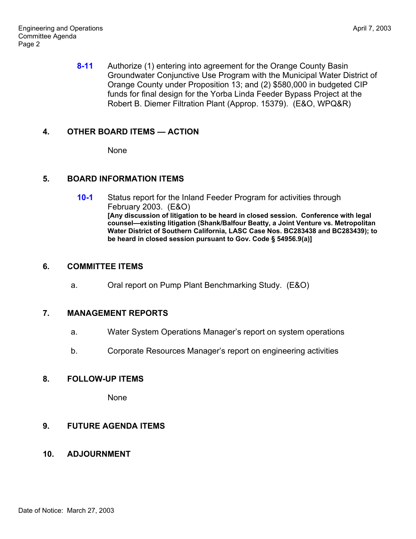**8-11** Authorize (1) entering into agreement for the Orange County Basin Groundwater Conjunctive Use Program with the Municipal Water District of Orange County under Proposition 13; and (2) \$580,000 in budgeted CIP funds for final design for the Yorba Linda Feeder Bypass Project at the Robert B. Diemer Filtration Plant (Approp. 15379). (E&O, WPQ&R)

# **4. OTHER BOARD ITEMS — ACTION**

None

# **5. BOARD INFORMATION ITEMS**

**10-1** Status report for the Inland Feeder Program for activities through February 2003. (E&O) **[Any discussion of litigation to be heard in closed session. Conference with legal counsel—existing litigation (Shank/Balfour Beatty, a Joint Venture vs. Metropolitan Water District of Southern California, LASC Case Nos. BC283438 and BC283439); to be heard in closed session pursuant to Gov. Code § 54956.9(a)]**

### **6. COMMITTEE ITEMS**

a. Oral report on Pump Plant Benchmarking Study. (E&O)

# **7. MANAGEMENT REPORTS**

- a. Water System Operations Manager's report on system operations
- b. Corporate Resources Manager's report on engineering activities

# **8. FOLLOW-UP ITEMS**

None

# **9. FUTURE AGENDA ITEMS**

# **10. ADJOURNMENT**